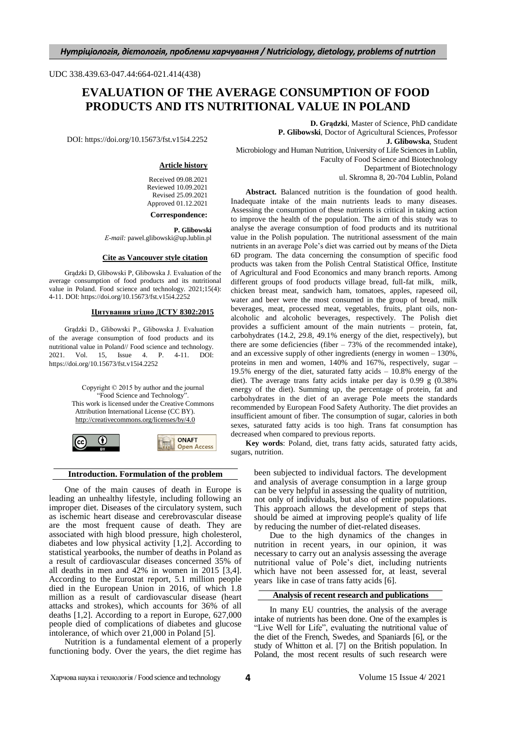#### UDC 338.439.63-047.44:664-021.414(438)

# **EVALUATION OF THE AVERAGE CONSUMPTION OF FOOD PRODUCTS AND ITS NUTRITIONAL VALUE IN POLAND**

DOI: https://doi.org/10.15673/fst.v15i4.2252

#### **Article history**

Received 09.08.2021 Reviewed 10.09.2021 Revised 25.09.2021 Approved 01.12.2021

**Correspondence:**

**P. Glibowski** *Е-mail:* pawel.glibowski@up.lublin.pl

#### **Cite as Vancouver style citation**

Grądzki D, Glibowski P, Glibowska J. Evaluation of the average consumption of food products and its nutritional value in Poland. Food science and technology. 2021;15(4): 4-11. DOI: https://doi.org/10.15673/fst.v15i4.2252

#### **Цитування згідно ДСТУ 8302:2015**

Grądzki D., Glibowski P., Glibowska J. Evaluation of the average consumption of food products and its nutritional value in Poland// Food science and technology. 2021. Vol. 15, Issue 4. P. 4-11. DOI: https://doi.org/10.15673/fst.v15i4.2252

> Copyright © 2015 by author and the journal "Food Science and Technology" This work is licensed under the Creative Commons Attribution International License (CC BY). <http://creativecommons.org/licenses/by/4.0>



#### **Introduction. Formulation of the problem**

One of the main causes of death in Europe is leading an unhealthy lifestyle, including following an improper diet. Diseases of the circulatory system, such as ischemic heart disease and cerebrovascular disease are the most frequent cause of death. They are associated with high blood pressure, high cholesterol, diabetes and low physical activity [1,2]. According to statistical yearbooks, the number of deaths in Poland as a result of cardiovascular diseases concerned 35% of all deaths in men and 42% in women in 2015 [3,4]. According to the Eurostat report, 5.1 million people died in the European Union in 2016, of which 1.8 million as a result of cardiovascular disease (heart attacks and strokes), which accounts for 36% of all deaths [1,2]. According to a report in Europe, 627,000 people died of complications of diabetes and glucose intolerance, of which over 21,000 in Poland [5].

Nutrition is a fundamental element of a properly functioning body. Over the years, the diet regime has

**D. Grądzki**, Master of Science, PhD candidate **P. Glibowski**, Doctor of Agricultural Sciences, Professor **J. Glibowska**, Student Microbiology and Human Nutrition, University of Life Sciences in Lublin, Faculty of Food Science and Biotechnology Department of Biotechnology ul. Skromna 8, 20-704 Lublin, Poland

**Abstract.** Balanced nutrition is the foundation of good health. Inadequate intake of the main nutrients leads to many diseases. Assessing the consumption of these nutrients is critical in taking action to improve the health of the population. The aim of this study was to analyse the average consumption of food products and its nutritional value in the Polish population. The nutritional assessment of the main nutrients in an average Pole's diet was carried out by means of the Dieta 6D program. The data concerning the consumption of specific food products was taken from the Polish Central Statistical Office, Institute of Agricultural and Food Economics and many branch reports. Among different groups of food products village bread, full-fat milk, milk, chicken breast meat, sandwich ham, tomatoes, apples, rapeseed oil, water and beer were the most consumed in the group of bread, milk beverages, meat, processed meat, vegetables, fruits, plant oils, nonalcoholic and alcoholic beverages, respectively. The Polish diet provides a sufficient amount of the main nutrients – protein, fat, carbohydrates (14.2, 29.8, 49.1% energy of the diet, respectively), but there are some deficiencies (fiber  $-73%$  of the recommended intake), and an excessive supply of other ingredients (energy in women – 130%, proteins in men and women, 140% and 167%, respectively, sugar – 19.5% energy of the diet, saturated fatty acids – 10.8% energy of the diet). The average trans fatty acids intake per day is 0.99 g (0.38% energy of the diet). Summing up, the percentage of protein, fat and carbohydrates in the diet of an average Pole meets the standards recommended by European Food Safety Authority. The diet provides an insufficient amount of fiber. The consumption of sugar, calories in both sexes, saturated fatty acids is too high. Trans fat consumption has decreased when compared to previous reports.

**Key words**: Poland, diet, trans fatty acids, saturated fatty acids, sugars, nutrition.

> been subjected to individual factors. The development and analysis of average consumption in a large group can be very helpful in assessing the quality of nutrition, not only of individuals, but also of entire populations. This approach allows the development of steps that should be aimed at improving people's quality of life by reducing the number of diet-related diseases.

> Due to the high dynamics of the changes in nutrition in recent years, in our opinion, it was necessary to carry out an analysis assessing the average nutritional value of Pole's diet, including nutrients which have not been assessed for, at least, several years like in case of trans fatty acids [6].

#### **Analysis of recent research and publications**

In many EU countries, the analysis of the average intake of nutrients has been done. One of the examples is "Live Well for Life", evaluating the nutritional value of the diet of the French, Swedes, and Spaniards [6], or the study of Whitton et al. [7] on the British population. In Poland, the most recent results of such research were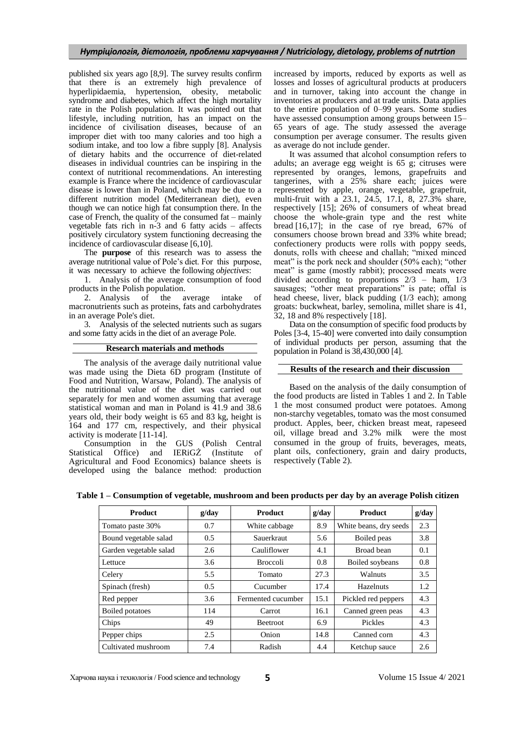published six years ago [8,9]. The survey results confirm that there is an extremely high prevalence of hyperlipidaemia, hypertension, obesity, metabolic syndrome and diabetes, which affect the high mortality rate in the Polish population. It was pointed out that lifestyle, including nutrition, has an impact on the incidence of civilisation diseases, because of an improper diet with too many calories and too high a sodium intake, and too low a fibre supply [8]. Analysis of dietary habits and the occurrence of diet-related diseases in individual countries can be inspiring in the context of nutritional recommendations. An interesting example is France where the incidence of cardiovascular disease is lower than in Poland, which may be due to a different nutrition model (Mediterranean diet), even though we can notice high fat consumption there. In the case of French, the quality of the consumed fat – mainly vegetable fats rich in n-3 and 6 fatty acids – affects positively circulatory system functioning decreasing the incidence of cardiovascular disease [6,10].

The **purpose** of this research was to assess the average nutritional value of Pole's diet. For this purpose, it was necessary to achieve the following *objectives*:

1. Analysis of the average consumption of food products in the Polish population.

2. Analysis of the average intake of macronutrients such as proteins, fats and carbohydrates in an average Pole's diet.

3. Analysis of the selected nutrients such as sugars and some fatty acids in the diet of an average Pole.

#### **Research materials and methods**

The analysis of the average daily nutritional value was made using the Dieta 6D program (Institute of Food and Nutrition, Warsaw, Poland). The analysis of the nutritional value of the diet was carried out separately for men and women assuming that average statistical woman and man in Poland is 41.9 and 38.6 years old, their body weight is 65 and 83 kg, height is 164 and 177 cm, respectively, and their physical activity is moderate [11-14].

Consumption in the GUS (Polish Central Statistical Office) and IERiGŻ (Institute of Agricultural and Food Economics) balance sheets is developed using the balance method: production

increased by imports, reduced by exports as well as losses and losses of agricultural products at producers and in turnover, taking into account the change in inventories at producers and at trade units. Data applies to the entire population of 0–99 years. Some studies have assessed consumption among groups between 15– 65 years of age. The study assessed the average consumption per average consumer. The results given as average do not include gender.

It was assumed that alcohol consumption refers to adults; an average egg weight is 65 g; citruses were represented by oranges, lemons, grapefruits and tangerines, with a 25% share each; juices were represented by apple, orange, vegetable, grapefruit, multi-fruit with a 23.1, 24.5, 17.1, 8, 27.3% share, respectively [15]; 26% of consumers of wheat bread choose the whole-grain type and the rest white bread [16,17]; in the case of rye bread, 67% of consumers choose brown bread and 33% white bread; confectionery products were rolls with poppy seeds, donuts, rolls with cheese and challah; "mixed minced meat" is the pork neck and shoulder  $(50\% \text{ each})$ ; "other meat" is game (mostly rabbit); processed meats were divided according to proportions 2/3 – ham, 1/3 sausages; "other meat preparations" is pate; offal is head cheese, liver, black pudding (1/3 each); among groats: buckwheat, barley, semolina, millet share is 41, 32, 18 and 8% respectively [18].

Data on the consumption of specific food products by Poles [3-4, 15-40] were converted into daily consumption of individual products per person, assuming that the population in Poland is 38,430,000 [4].

#### **Results of the research and their discussion**

Based on the analysis of the daily consumption of the food products are listed in Tables 1 and 2. In Table 1 the most consumed product were potatoes. Among non-starchy vegetables, tomato was the most consumed product. Apples, beer, chicken breast meat, rapeseed oil, village bread and 3.2% milk were the most consumed in the group of fruits, beverages, meats, plant oils, confectionery, grain and dairy products, respectively (Table 2).

| <b>Product</b>         | g/day | <b>Product</b>     | g/day | <b>Product</b>         | g/day |
|------------------------|-------|--------------------|-------|------------------------|-------|
| Tomato paste 30%       | 0.7   | White cabbage      | 8.9   | White beans, dry seeds | 2.3   |
| Bound vegetable salad  | 0.5   | Sauerkraut         | 5.6   | Boiled peas            | 3.8   |
| Garden vegetable salad | 2.6   | Cauliflower        | 4.1   | Broad bean             | 0.1   |
| Lettuce                | 3.6   | <b>Broccoli</b>    | 0.8   | Boiled soybeans        | 0.8   |
| Celery                 | 5.5   | Tomato             | 27.3  | Walnuts                | 3.5   |
| Spinach (fresh)        | 0.5   | Cucumber           | 17.4  | Hazelnuts              | 1.2   |
| Red pepper             | 3.6   | Fermented cucumber | 15.1  | Pickled red peppers    | 4.3   |
| Boiled potatoes        | 114   | Carrot             | 16.1  | Canned green peas      | 4.3   |
| Chips                  | 49    | <b>Beetroot</b>    | 6.9   | Pickles                | 4.3   |
| Pepper chips           | 2.5   | Onion              | 14.8  | Canned corn            | 4.3   |
| Cultivated mushroom    | 7.4   | Radish             | 4.4   | Ketchup sauce          | 2.6   |

**Table 1 – Consumption of vegetable, mushroom and been products per day by an average Polish citizen**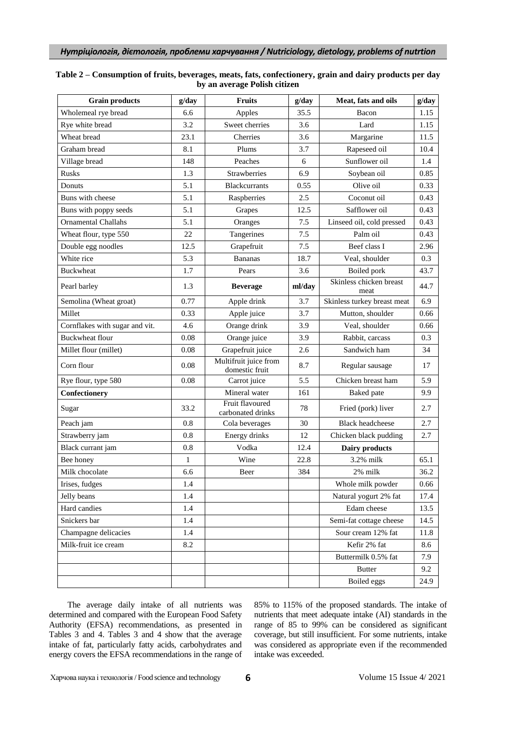| <b>Grain products</b>          | g/day        | <b>Fruits</b>                           | g/day  | Meat, fats and oils             | g/day |
|--------------------------------|--------------|-----------------------------------------|--------|---------------------------------|-------|
| Wholemeal rye bread            | 6.6          | Apples                                  | 35.5   | Bacon                           | 1.15  |
| Rye white bread                | 3.2          | Sweet cherries                          | 3.6    | Lard                            | 1.15  |
| Wheat bread                    | 23.1         | Cherries                                | 3.6    | Margarine                       | 11.5  |
| Graham bread                   | 8.1          | Plums                                   | 3.7    | Rapeseed oil                    | 10.4  |
| Village bread                  | 148          | Peaches                                 | 6      | Sunflower oil                   | 1.4   |
| Rusks                          | 1.3          | Strawberries                            | 6.9    | Soybean oil                     | 0.85  |
| Donuts                         | 5.1          | <b>Blackcurrants</b>                    | 0.55   | Olive oil                       | 0.33  |
| Buns with cheese               | 5.1          | Raspberries                             | 2.5    | Coconut oil                     | 0.43  |
| Buns with poppy seeds          | 5.1          | Grapes                                  | 12.5   | Safflower oil                   | 0.43  |
| <b>Ornamental Challahs</b>     | 5.1          | Oranges                                 | 7.5    | Linseed oil, cold pressed       | 0.43  |
| Wheat flour, type 550          | 22           | Tangerines                              | 7.5    | Palm oil                        | 0.43  |
| Double egg noodles             | 12.5         | Grapefruit                              | 7.5    | Beef class I                    | 2.96  |
| White rice                     | 5.3          | <b>Bananas</b>                          | 18.7   | Veal, shoulder                  | 0.3   |
| <b>Buckwheat</b>               | 1.7          | Pears                                   | 3.6    | Boiled pork                     | 43.7  |
| Pearl barley                   | 1.3          | <b>Beverage</b>                         | ml/day | Skinless chicken breast<br>meat | 44.7  |
| Semolina (Wheat groat)         | 0.77         | Apple drink                             | 3.7    | Skinless turkey breast meat     | 6.9   |
| Millet                         | 0.33         | Apple juice                             | 3.7    | Mutton, shoulder                | 0.66  |
| Cornflakes with sugar and vit. | 4.6          | Orange drink                            | 3.9    | Veal, shoulder                  | 0.66  |
| Buckwheat flour                | 0.08         | Orange juice                            | 3.9    | Rabbit, carcass                 | 0.3   |
| Millet flour (millet)          | 0.08         | Grapefruit juice                        | 2.6    | Sandwich ham                    | 34    |
| Corn flour                     | 0.08         | Multifruit juice from<br>domestic fruit | 8.7    | Regular sausage                 | 17    |
| Rye flour, type 580            | 0.08         | Carrot juice                            | 5.5    | Chicken breast ham              | 5.9   |
| Confectionery                  |              | Mineral water                           | 161    | Baked pate                      | 9.9   |
| Sugar                          | 33.2         | Fruit flavoured<br>carbonated drinks    | 78     | Fried (pork) liver              | 2.7   |
| Peach jam                      | 0.8          | Cola beverages                          | 30     | <b>Black headcheese</b>         | 2.7   |
| Strawberry jam                 | 0.8          | Energy drinks                           | 12     | Chicken black pudding           | 2.7   |
| Black currant jam              | 0.8          | Vodka                                   | 12.4   | Dairy products                  |       |
| Bee honey                      | $\mathbf{1}$ | Wine                                    | 22.8   | 3.2% milk                       | 65.1  |
| Milk chocolate                 | 6.6          | Beer                                    | 384    | 2% milk                         | 36.2  |
| Irises, fudges                 | 1.4          |                                         |        | Whole milk powder               | 0.66  |
| Jelly beans                    | 1.4          |                                         |        | Natural yogurt 2% fat           | 17.4  |
| Hard candies                   | 1.4          |                                         |        | Edam cheese                     | 13.5  |
| Snickers bar                   | 1.4          |                                         |        | Semi-fat cottage cheese         | 14.5  |
| Champagne delicacies           | 1.4          |                                         |        | Sour cream 12% fat              | 11.8  |
| Milk-fruit ice cream           | 8.2          |                                         |        | Kefir 2% fat                    | 8.6   |
|                                |              |                                         |        | Buttermilk 0.5% fat             | 7.9   |
|                                |              |                                         |        | <b>Butter</b>                   | 9.2   |
|                                |              |                                         |        | Boiled eggs                     | 24.9  |

## **Table 2 – Consumption of fruits, beverages, meats, fats, confectionery, grain and dairy products per day by an average Polish citizen**

The average daily intake of all nutrients was determined and compared with the European Food Safety Authority (EFSA) recommendations, as presented in Tables 3 and 4. Tables 3 and 4 show that the average intake of fat, particularly fatty acids, carbohydrates and energy covers the EFSA recommendations in the range of

85% to 115% of the proposed standards. The intake of nutrients that meet adequate intake (AI) standards in the range of 85 to 99% can be considered as significant coverage, but still insufficient. For some nutrients, intake was considered as appropriate even if the recommended intake was exceeded.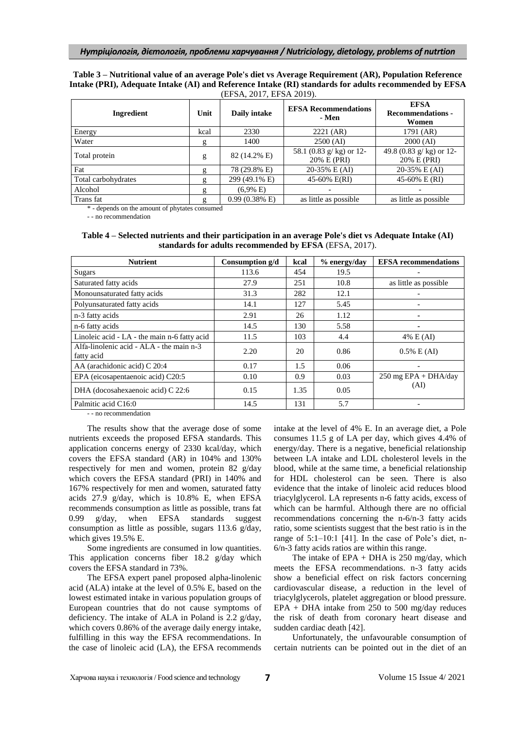#### **Table 3 – Nutritional value of an average Pole's diet vs Average Requirement (AR), Population Reference Intake (PRI), Adequate Intake (AI) and Reference Intake (RI) standards for adults recommended by EFSA** (EFSA, 2017, EFSA 2019).

| Ingredient          | Unit | Daily intake             | <b>EFSA Recommendations</b><br>- Men      | <b>EFSA</b><br><b>Recommendations -</b><br>Women |
|---------------------|------|--------------------------|-------------------------------------------|--------------------------------------------------|
| Energy              | kcal | 2330                     | 2221 (AR)                                 | 1791 (AR)                                        |
| Water               | g    | 1400                     | $2500$ (AI)                               | 2000 (AI)                                        |
| Total protein       | g    | 82 (14.2% E)             | 58.1 (0.83 $g/kg$ ) or 12-<br>20% E (PRI) | 49.8 (0.83 g/ kg) or 12-<br>20% E (PRI)          |
| Fat                 | g    | 78 (29.8% E)             | 20-35% E (AI)                             | 20-35% E (AI)                                    |
| Total carbohydrates | g    | 299 (49.1% E)            | 45-60% E(RI)                              | 45-60% E (RI)                                    |
| Alcohol             | g    | $(6.9\% \text{ E})$      |                                           |                                                  |
| Trans fat           | g    | $0.99(0.38\% \text{ E})$ | as little as possible                     | as little as possible                            |

\* - depends on the amount of phytates consumed

- - no recommendation

**Table 4 – Selected nutrients and their participation in an average Pole's diet vs Adequate Intake (AI) standards for adults recommended by EFSA** (EFSA, 2017).

| <b>Nutrient</b>                                        | Consumption g/d | kcal | % energy/day | <b>EFSA</b> recommendations    |
|--------------------------------------------------------|-----------------|------|--------------|--------------------------------|
| Sugars                                                 | 113.6           | 454  | 19.5         |                                |
| Saturated fatty acids                                  | 27.9            | 251  | 10.8         | as little as possible          |
| Monounsaturated fatty acids                            | 31.3            | 282  | 12.1         |                                |
| Polyunsaturated fatty acids                            | 14.1            | 127  | 5.45         |                                |
| n-3 fatty acids                                        | 2.91            | 26   | 1.12         |                                |
| n-6 fatty acids                                        | 14.5            | 130  | 5.58         |                                |
| Linoleic acid - LA - the main n-6 fatty acid           | 11.5            | 103  | 4.4          | 4% E (AI)                      |
| Alfa-linolenic acid - ALA - the main n-3<br>fatty acid | 2.20            | 20   | 0.86         | $0.5\% \to (AI)$               |
| AA (arachidonic acid) C 20:4                           | 0.17            | 1.5  | 0.06         |                                |
| EPA (eicosapentaenoic acid) C20:5                      | 0.10            | 0.9  | 0.03         | $250 \text{ mg EPA} + DHA/day$ |
| DHA (docosahexaenoic acid) C 22:6                      | 0.15            | 1.35 | 0.05         | (AI)                           |
| Palmitic acid C16:0                                    | 14.5            | 131  | 5.7          |                                |

- - no recommendation

The results show that the average dose of some nutrients exceeds the proposed EFSA standards. This application concerns energy of 2330 kcal/day, which covers the EFSA standard (AR) in 104% and 130% respectively for men and women, protein 82 g/day which covers the EFSA standard (PRI) in 140% and 167% respectively for men and women, saturated fatty acids 27.9 g/day, which is 10.8% E, when EFSA recommends consumption as little as possible, trans fat 0.99 g/day, when EFSA standards suggest consumption as little as possible, sugars 113.6 g/day, which gives 19.5% E.

Some ingredients are consumed in low quantities. This application concerns fiber 18.2 g/day which covers the EFSA standard in 73%.

The EFSA expert panel proposed alpha-linolenic acid (ALA) intake at the level of 0.5% E, based on the lowest estimated intake in various population groups of European countries that do not cause symptoms of deficiency. The intake of ALA in Poland is 2.2 g/day, which covers 0.86% of the average daily energy intake, fulfilling in this way the EFSA recommendations. In the case of linoleic acid (LA), the EFSA recommends

intake at the level of 4% E. In an average diet, a Pole consumes 11.5 g of LA per day, which gives 4.4% of energy/day. There is a negative, beneficial relationship between LA intake and LDL cholesterol levels in the blood, while at the same time, a beneficial relationship for HDL cholesterol can be seen. There is also evidence that the intake of linoleic acid reduces blood triacylglycerol. LA represents n-6 fatty acids, excess of which can be harmful. Although there are no official recommendations concerning the n-6/n-3 fatty acids ratio, some scientists suggest that the best ratio is in the range of 5:1–10:1 [41]. In the case of Pole's diet, n-6/n-3 fatty acids ratios are within this range.

The intake of  $EPA + DHA$  is 250 mg/day, which meets the EFSA recommendations. n-3 fatty acids show a beneficial effect on risk factors concerning cardiovascular disease, a reduction in the level of triacylglycerols, platelet aggregation or blood pressure. EPA + DHA intake from 250 to 500 mg/day reduces the risk of death from coronary heart disease and sudden cardiac death [42].

Unfortunately, the unfavourable consumption of certain nutrients can be pointed out in the diet of an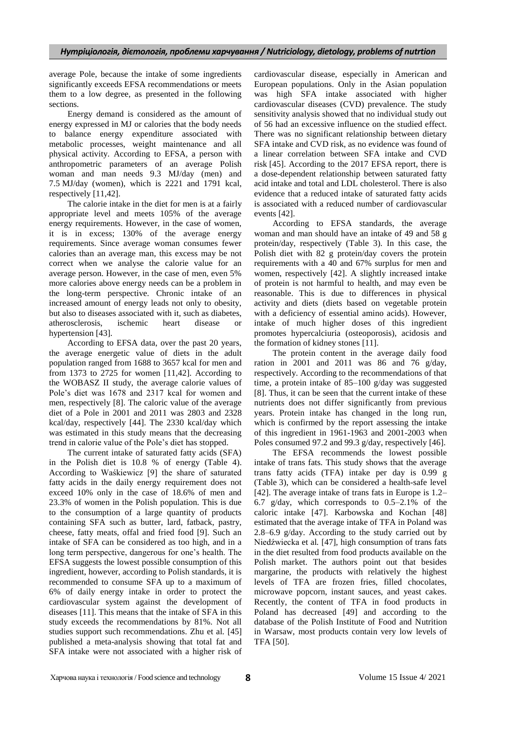average Pole, because the intake of some ingredients significantly exceeds EFSA recommendations or meets them to a low degree, as presented in the following sections.

Energy demand is considered as the amount of energy expressed in MJ or calories that the body needs to balance energy expenditure associated with metabolic processes, weight maintenance and all physical activity. According to EFSA, a person with anthropometric parameters of an average Polish woman and man needs 9.3 MJ/day (men) and 7.5 MJ/day (women), which is 2221 and 1791 kcal, respectively [11,42].

The calorie intake in the diet for men is at a fairly appropriate level and meets 105% of the average energy requirements. However, in the case of women, it is in excess; 130% of the average energy requirements. Since average woman consumes fewer calories than an average man, this excess may be not correct when we analyse the calorie value for an average person. However, in the case of men, even 5% more calories above energy needs can be a problem in the long-term perspective. Chronic intake of an increased amount of energy leads not only to obesity, but also to diseases associated with it, such as diabetes, atherosclerosis, ischemic heart disease hypertension [43].

According to EFSA data, over the past 20 years, the average energetic value of diets in the adult population ranged from 1688 to 3657 kcal for men and from 1373 to 2725 for women [11,42]. According to the WOBASZ II study, the average calorie values of Pole's diet was 1678 and 2317 kcal for women and men, respectively [8]. The caloric value of the average diet of a Pole in 2001 and 2011 was 2803 and 2328 kcal/day, respectively [44]. The 2330 kcal/day which was estimated in this study means that the decreasing trend in calorie value of the Pole's diet has stopped.

The current intake of saturated fatty acids (SFA) in the Polish diet is 10.8 % of energy (Table 4). According to Waśkiewicz [9] the share of saturated fatty acids in the daily energy requirement does not exceed 10% only in the case of 18.6% of men and 23.3% of women in the Polish population. This is due to the consumption of a large quantity of products containing SFA such as butter, lard, fatback, pastry, cheese, fatty meats, offal and fried food [9]. Such an intake of SFA can be considered as too high, and in a long term perspective, dangerous for one's health. The EFSA suggests the lowest possible consumption of this ingredient, however, according to Polish standards, it is recommended to consume SFA up to a maximum of 6% of daily energy intake in order to protect the cardiovascular system against the development of diseases [11]. This means that the intake of SFA in this study exceeds the recommendations by 81%. Not all studies support such recommendations. Zhu et al*.* [45] published a meta-analysis showing that total fat and SFA intake were not associated with a higher risk of cardiovascular disease, especially in American and European populations. Only in the Asian population was high SFA intake associated with higher cardiovascular diseases (CVD) prevalence. The study sensitivity analysis showed that no individual study out of 56 had an excessive influence on the studied effect. There was no significant relationship between dietary SFA intake and CVD risk, as no evidence was found of a linear correlation between SFA intake and CVD risk [45]. According to the 2017 EFSA report, there is a dose-dependent relationship between saturated fatty acid intake and total and LDL cholesterol. There is also evidence that a reduced intake of saturated fatty acids is associated with a reduced number of cardiovascular events [42].

According to EFSA standards, the average woman and man should have an intake of 49 and 58 g protein/day, respectively (Table 3). In this case, the Polish diet with 82 g protein/day covers the protein requirements with a 40 and 67% surplus for men and women, respectively [42]. A slightly increased intake of protein is not harmful to health, and may even be reasonable. This is due to differences in physical activity and diets (diets based on vegetable protein with a deficiency of essential amino acids). However, intake of much higher doses of this ingredient promotes hypercalciuria (osteoporosis), acidosis and the formation of kidney stones [11].

The protein content in the average daily food ration in 2001 and 2011 was 86 and 76 g/day, respectively. According to the recommendations of that time, a protein intake of 85–100 g/day was suggested [8]. Thus, it can be seen that the current intake of these nutrients does not differ significantly from previous years. Protein intake has changed in the long run, which is confirmed by the report assessing the intake of this ingredient in 1961-1963 and 2001-2003 when Poles consumed 97.2 and 99.3 g/day, respectively [46].

The EFSA recommends the lowest possible intake of trans fats. This study shows that the average trans fatty acids (TFA) intake per day is 0.99 g (Table 3), which can be considered a health-safe level [42]. The average intake of trans fats in Europe is 1.2– 6.7 g/day, which corresponds to 0.5–2.1% of the caloric intake [47]. Karbowska and Kochan [48] estimated that the average intake of TFA in Poland was 2.8–6.9 g/day. According to the study carried out by Niedźwiecka et al*.* [47], high consumption of trans fats in the diet resulted from food products available on the Polish market. The authors point out that besides margarine, the products with relatively the highest levels of TFA are frozen fries, filled chocolates, microwave popcorn, instant sauces, and yeast cakes. Recently, the content of TFA in food products in Poland has decreased [49] and according to the database of the Polish Institute of Food and Nutrition in Warsaw, most products contain very low levels of TFA [50].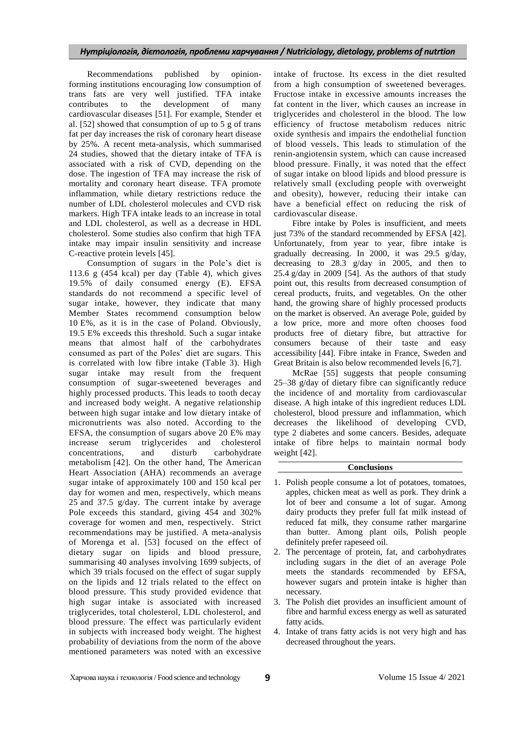## *Нутріціологія, дієтологія, проблеми харчування / Nutriciology, dietology, problems of nutrtion*

Recommendations published by opinionforming institutions encouraging low consumption of trans fats are very well justified. TFA intake contributes to the development of many cardiovascular diseases [51]. For example, Stender et al. [52] showed that consumption of up to 5 g of trans fat per day increases the risk of coronary heart disease by 25%. A recent meta-analysis, which summarised 24 studies, showed that the dietary intake of TFA is associated with a risk of CVD, depending on the dose. The ingestion of TFA may increase the risk of mortality and coronary heart disease. TFA promote inflammation, while dietary restrictions reduce the number of LDL cholesterol molecules and CVD risk markers. High TFA intake leads to an increase in total and LDL cholesterol, as well as a decrease in HDL cholesterol. Some studies also confirm that high TFA intake may impair insulin sensitivity and increase C-reactive protein levels [45].

Consumption of sugars in the Pole's diet is 113.6 g (454 kcal) per day (Table 4), which gives 19.5% of daily consumed energy (E). EFSA standards do not recommend a specific level of sugar intake, however, they indicate that many Member States recommend consumption below 10 E%, as it is in the case of Poland. Obviously, 19.5 E% exceeds this threshold. Such a sugar intake means that almost half of the carbohydrates consumed as part of the Poles' diet are sugars. This is correlated with low fibre intake (Table 3). High sugar intake may result from the frequent consumption of sugar-sweetened beverages and highly processed products. This leads to tooth decay and increased body weight. A negative relationship between high sugar intake and low dietary intake of micronutrients was also noted. According to the EFSA, the consumption of sugars above 20 E% may increase serum triglycerides and cholesterol concentrations, and disturb carbohydrate metabolism [42]. On the other hand, The American Heart Association (AHA) recommends an average sugar intake of approximately 100 and 150 kcal per day for women and men, respectively, which means 25 and 37.5 g/day. The current intake by average Pole exceeds this standard, giving 454 and 302% coverage for women and men, respectively. Strict recommendations may be justified. A meta-analysis of Morenga et al. [53] focused on the effect of dietary sugar on lipids and blood pressure, summarising 40 analyses involving 1699 subjects, of which 39 trials focused on the effect of sugar supply on the lipids and 12 trials related to the effect on blood pressure. This study provided evidence that high sugar intake is associated with increased triglycerides, total cholesterol, LDL cholesterol, and blood pressure. The effect was particularly evident in subjects with increased body weight. The highest probability of deviations from the norm of the above mentioned parameters was noted with an excessive

intake of fructose. Its excess in the diet resulted from a high consumption of sweetened beverages. Fructose intake in excessive amounts increases the fat content in the liver, which causes an increase in triglycerides and cholesterol in the blood. The low efficiency of fructose metabolism reduces nitric oxide synthesis and impairs the endothelial function of blood vessels. This leads to stimulation of the renin-angiotensin system, which can cause increased blood pressure. Finally, it was noted that the effect of sugar intake on blood lipids and blood pressure is relatively small (excluding people with overweight and obesity), however, reducing their intake can have a beneficial effect on reducing the risk of cardiovascular disease.

Fibre intake by Poles is insufficient, and meets just 73% of the standard recommended by EFSA [42]. Unfortunately, from year to year, fibre intake is gradually decreasing. In 2000, it was 29.5 g/day, decreasing to 28.3 g/day in 2005, and then to 25.4 g/day in 2009 [54]. As the authors of that study point out, this results from decreased consumption of cereal products, fruits, and vegetables. On the other hand, the growing share of highly processed products on the market is observed. An average Pole, guided by a low price, more and more often chooses food products free of dietary fibre, but attractive for consumers because of their taste and easy accessibility [44]. Fibre intake in France, Sweden and Great Britain is also below recommended levels [6,7].

McRae [55] suggests that people consuming 25–38 g/day of dietary fibre can significantly reduce the incidence of and mortality from cardiovascular disease. A high intake of this ingredient reduces LDL cholesterol, blood pressure and inflammation, which decreases the likelihood of developing CVD, type 2 diabetes and some cancers. Besides, adequate intake of fibre helps to maintain normal body weight [42].

#### **Conclusions**

- 1. Polish people consume a lot of potatoes, tomatoes, apples, chicken meat as well as pork. They drink a lot of beer and consume a lot of sugar. Among dairy products they prefer full fat milk instead of reduced fat milk, they consume rather margarine than butter. Among plant oils, Polish people definitely prefer rapeseed oil.
- 2. The percentage of protein, fat, and carbohydrates including sugars in the diet of an average Pole meets the standards recommended by EFSA, however sugars and protein intake is higher than necessary.
- 3. The Polish diet provides an insufficient amount of fibre and harmful excess energy as well as saturated fatty acids.
- 4. Intake of trans fatty acids is not very high and has decreased throughout the years.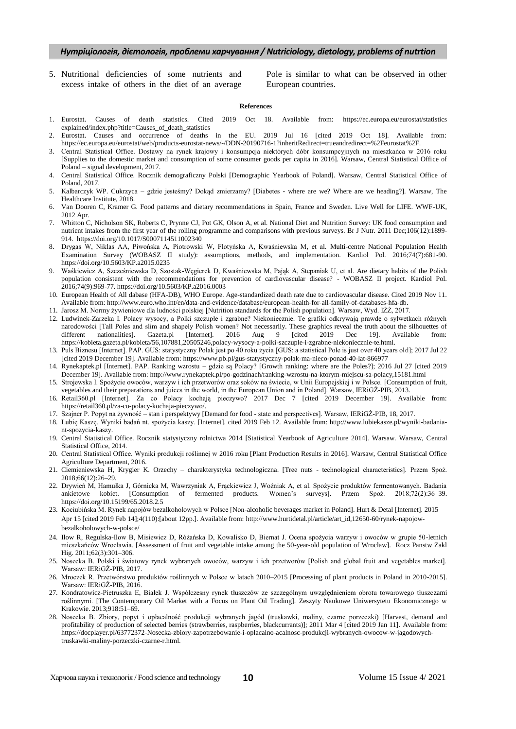### *Нутріціологія, дієтологія, проблеми харчування / Nutriciology, dietology, problems of nutrtion*

5. Nutritional deficiencies of some nutrients and excess intake of others in the diet of an average

Pole is similar to what can be observed in other European countries.

#### **References**

- 1. Eurostat. Causes of death statistics. Cited 2019 Oct 18. Available from: https://ec.europa.eu/eurostat/statistics explained/index.php?title=Causes\_of\_death\_statistics
- 2. Eurostat. Causes and occurrence of deaths in the EU. 2019 Jul 16 [cited 2019 Oct 18]. Available from: https://ec.europa.eu/eurostat/web/products-eurostat-news/-/DDN-20190716-1?inheritRedirect=trueandredirect=%2Feurostat%2F.
- 3. Central Statistical Office. Dostawy na rynek krajowy i konsumpcja niektórych dóbr konsumpcyjnych na mieszkańca w 2016 roku [Supplies to the domestic market and consumption of some consumer goods per capita in 2016]. Warsaw, Central Statistical Office of Poland – signal development, 2017.
- 4. Central Statistical Office. Rocznik demograficzny Polski [Demographic Yearbook of Poland]. Warsaw, Central Statistical Office of Poland, 2017.
- 5. Kalbarczyk WP. Cukrzyca gdzie jesteśmy? Dokąd zmierzamy? [Diabetes where are we? Where are we heading?]. Warsaw, The Healthcare Institute, 2018.
- 6. Van Dooren C, Kramer G. Food patterns and dietary recommendations in Spain, France and Sweden. Live Well for LIFE. WWF-UK, 2012 Apr.
- 7. Whitton C, Nicholson SK, Roberts C, Prynne CJ, Pot GK, Olson A, et al. National Diet and Nutrition Survey: UK food consumption and nutrient intakes from the first year of the rolling programme and comparisons with previous surveys. Br J Nutr. 2011 Dec;106(12):1899- 914. https://doi.org/10.1017/S0007114511002340
- 8. Drygas W, Niklas AA, Piwońska A, Piotrowski W, Flotyńska A, Kwaśniewska M, et al. Multi-centre National Population Health Examination Survey (WOBASZ II study): assumptions, methods, and implementation. Kardiol Pol. 2016;74(7):681-90. https://doi.org/10.5603/KP.a2015.0235
- 9. Waśkiewicz A, Szcześniewska D, Szostak-Węgierek D, Kwaśniewska M, Pająk A, Stepaniak U, et al. Are dietary habits of the Polish population consistent with the recommendations for prevention of cardiovascular disease? - WOBASZ II project. Kardiol Pol. 2016;74(9):969-77. https://doi.org/10.5603/KP.a2016.0003
- 10. European Health of All dabase (HFA-DB), WHO Europe. Age-standardized death rate due to cardiovascular disease. Cited 2019 Nov 11. Available from: http://www.euro.who.int/en/data-and-evidence/database/european-health-for-all-family-of-databases-hfa-db.
- 11. Jarosz M. Normy żywieniowe dla ludności polskiej [Nutrition standards for the Polish population]. Warsaw, Wyd. IŻŻ, 2017.
- 12. Ludwinek-Zarzeka I. Polacy wysocy, a Polki szczupłe i zgrabne? Niekoniecznie. Te grafiki odkrywają prawdę o sylwetkach różnych narodowości [Tall Poles and slim and shapely Polish women? Not necessarily. These graphics reveal the truth about the silhouettes of different nationalities]. Gazeta.pl [Internet]. 2016 Aug 9 [cited 2019 Dec 19]. Available different nationalities]. Gazeta.pl [Internet]. 2016 Aug 9 [cited 2019 Dec 19]. Available from: https://kobieta.gazeta.pl/kobieta/56,107881,20505246,polacy-wysocy-a-polki-szczuple-i-zgrabne-niekoniecznie-te.html.
- 13. Puls Biznesu [Internet]. PAP. GUS: statystyczny Polak jest po 40 roku życia [GUS: a statistical Pole is just over 40 years old]; 2017 Jul 22 [cited 2019 December 19]. Available from: https://www.pb.pl/gus-statystyczny-polak-ma-nieco-ponad-40-lat-866977
- 14. Rynekaptek.pl [Internet]. PAP. Ranking wzrostu gdzie są Polacy? [Growth ranking: where are the Poles?]; 2016 Jul 27 [cited 2019 December 19]. Available from: http://www.rynekaptek.pl/po-godzinach/ranking-wzrostu-na-ktorym-miejscu-sa-polacy,15181.html
- 15. Strojewska I. Spożycie owoców, warzyw i ich przetworów oraz soków na świecie, w Unii Europejskiej i w Polsce. [Consumption of fruit, vegetables and their preparations and juices in the world, in the European Union and in Poland]. Warsaw, IERiGŻ-PIB, 2013.
- 16. Retail360.pl [Internet]. Za co Polacy kochają pieczywo? 2017 Dec 7 [cited 2019 December 19]. Available from: https://retail360.pl/za-co-polacy-kochaja-pieczywo/.
- 17. Szajner P. Popyt na żywność stan i perspektywy [Demand for food state and perspectives]. Warsaw, IERiGŻ-PIB, 18, 2017.
- 18. Lubię Kaszę. Wyniki badań nt. spożycia kaszy. [Internet]. cited 2019 Feb 12. Available from: http://www.lubiekasze.pl/wyniki-badaniant-spozycia-kaszy.
- 19. Central Statistical Office. Rocznik statystyczny rolnictwa 2014 [Statistical Yearbook of Agriculture 2014]. Warsaw. Warsaw, Central Statistical Office, 2014.
- 20. Central Statistical Office. Wyniki produkcji roślinnej w 2016 roku [Plant Production Results in 2016]. Warsaw, Central Statistical Office Agriculture Department, 2016.
- 21. Ciemieniewska H, Krygier K. Orzechy charakterystyka technologiczna. [Tree nuts technological characteristics]. Przem Spoż. 2018;66(12):26–29.
- 22. Drywień M, Hamułka J, Górnicka M, Wawrzyniak A, Frąckiewicz J, Woźniak A, et al. Spożycie produktów fermentowanych. Badania ankietowe kobiet. [Consumption of fermented products. Women's surveys]. Przem Spoż. 2018;72(2):36–39. https://doi.org/10.15199/65.2018.2.5
- 23. Kociubińska M. Rynek napojów bezalkoholowych w Polsce [Non-alcoholic beverages market in Poland]. Hurt & Detal [Internet]. 2015 Apr 15 [cited 2019 Feb 14];4(110):[about 12pp.]. Available from: http://www.hurtidetal.pl/article/art\_id,12650-60/rynek-napojowbezalkoholowych-w-polsce/
- 24. Ilow R, Regulska-Ilow B, Misiewicz D, Różańska D, Kowalisko D, Biernat J. Ocena spożycia warzyw i owoców w grupie 50-letnich mieszkańców Wrocławia. [Assessment of fruit and vegetable intake among the 50-year-old population of Wroclaw]. Rocz Panstw Zakl Hig. 2011;62(3):301–306.
- 25. Nosecka B. Polski i światowy rynek wybranych owoców, warzyw i ich przetworów [Polish and global fruit and vegetables market]. Warsaw: IERiGŻ-PIB, 2017.
- 26. Mroczek R. Przetwórstwo produktów roślinnych w Polsce w latach 2010–2015 [Processing of plant products in Poland in 2010-2015]. Warsaw: IERiGŻ-PIB, 2016.
- 27. Kondratowicz-Pietruszka E, Białek J. Współczesny rynek tłuszczów ze szczególnym uwzględnieniem obrotu towarowego tłuszczami roślinnymi. [The Contemporary Oil Market with a Focus on Plant Oil Trading]. Zeszyty Naukowe Uniwersytetu Ekonomicznego w Krakowie. 2013;918:51–69.
- 28. Nosecka B. Zbiory, popyt i opłacalność produkcji wybranych jagód (truskawki, maliny, czarne porzeczki) [Harvest, demand and profitability of production of selected berries (strawberries, raspberries, blackcurrants)]; 2011 Mar 4 [cited 2019 Jan 11]. Available from: https://docplayer.pl/63772372-Nosecka-zbiory-zapotrzebowanie-i-oplacalno-acalnosc-produkcji-wybranych-owocow-w-jagodowychtruskawki-maliny-porzeczki-czarne-r.html.